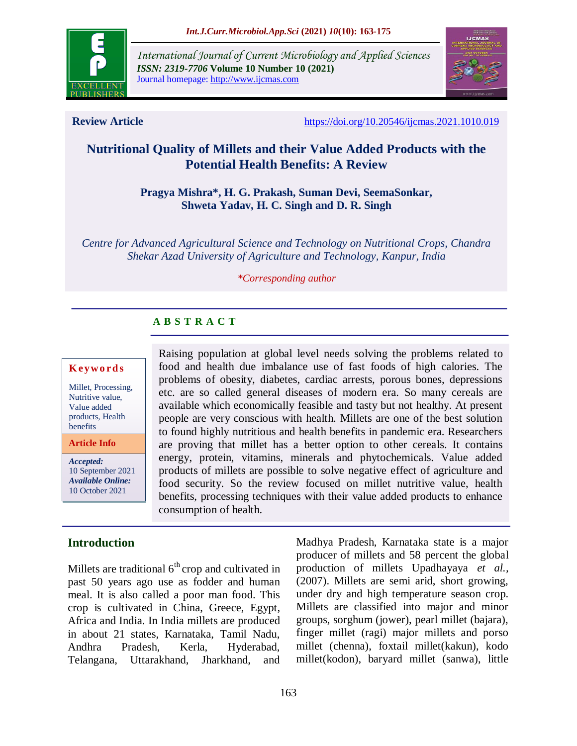

*International Journal of Current Microbiology and Applied Sciences ISSN: 2319-7706* **Volume 10 Number 10 (2021)**  Journal homepage: http://www.ijcmas.com



**Review Article** <https://doi.org/10.20546/ijcmas.2021.1010.019>

# **Nutritional Quality of Millets and their Value Added Products with the Potential Health Benefits: A Review**

## **Pragya Mishra\*, H. G. Prakash, Suman Devi, SeemaSonkar, Shweta Yadav, H. C. Singh and D. R. Singh**

*Centre for Advanced Agricultural Science and Technology on Nutritional Crops, Chandra Shekar Azad University of Agriculture and Technology, Kanpur, India*

#### *\*Corresponding author*

Raising population at global level needs solving the problems related to food and health due imbalance use of fast foods of high calories. The problems of obesity, diabetes, cardiac arrests, porous bones, depressions etc. are so called general diseases of modern era. So many cereals are available which economically feasible and tasty but not healthy. At present people are very conscious with health. Millets are one of the best solution to found highly nutritious and health benefits in pandemic era. Researchers are proving that millet has a better option to other cereals. It contains energy, protein, vitamins, minerals and phytochemicals. Value added products of millets are possible to solve negative effect of agriculture and

# **A B S T R A C T**

consumption of health.

## **K ey w o rd s**

Millet, Processing, Nutritive value, Value added products, Health benefits

**Article Info**

*Accepted:*  10 September 2021 *Available Online:* 10 October 2021

# **Introduction**

Millets are traditional  $6<sup>th</sup>$  crop and cultivated in past 50 years ago use as fodder and human meal. It is also called a poor man food. This crop is cultivated in China, Greece, Egypt, Africa and India. In India millets are produced in about 21 states, Karnataka, Tamil Nadu, Andhra Pradesh, Kerla, Hyderabad, Telangana, Uttarakhand, Jharkhand, and

Madhya Pradesh, Karnataka state is a major producer of millets and 58 percent the global production of millets Upadhayaya *et al.,* (2007). Millets are semi arid, short growing, under dry and high temperature season crop. Millets are classified into major and minor groups, sorghum (jower), pearl millet (bajara), finger millet (ragi) major millets and porso millet (chenna), foxtail millet(kakun), kodo millet(kodon), baryard millet (sanwa), little food security. So the review focused on millet nutritive value, health benefits, processing techniques with their value added products to enhance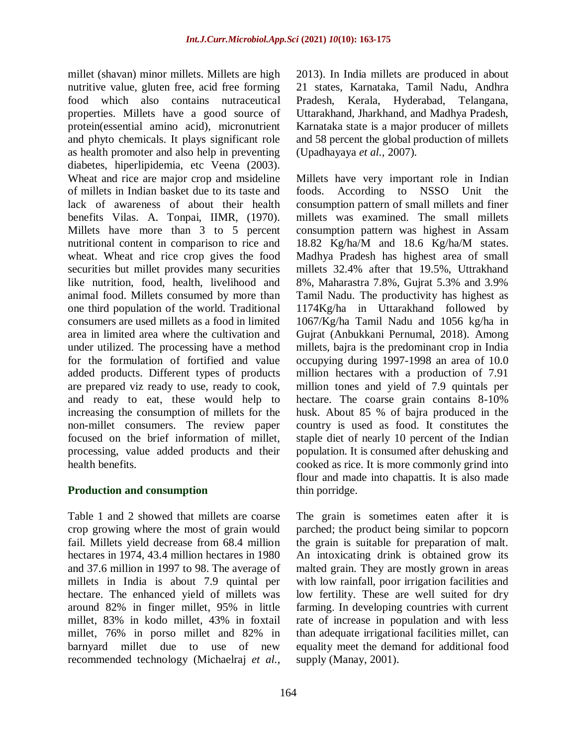millet (shavan) minor millets. Millets are high nutritive value, gluten free, acid free forming food which also contains nutraceutical properties. Millets have a good source of protein(essential amino acid), micronutrient and phyto chemicals. It plays significant role as health promoter and also help in preventing diabetes, hiperlipidemia, etc Veena (2003). Wheat and rice are major crop and msideline of millets in Indian basket due to its taste and lack of awareness of about their health benefits Vilas. A. Tonpai, IIMR, (1970). Millets have more than 3 to 5 percent nutritional content in comparison to rice and wheat. Wheat and rice crop gives the food securities but millet provides many securities like nutrition, food, health, livelihood and animal food. Millets consumed by more than one third population of the world. Traditional consumers are used millets as a food in limited area in limited area where the cultivation and under utilized. The processing have a method for the formulation of fortified and value added products. Different types of products are prepared viz ready to use, ready to cook, and ready to eat, these would help to increasing the consumption of millets for the non-millet consumers. The review paper focused on the brief information of millet, processing, value added products and their health benefits.

# **Production and consumption**

Table 1 and 2 showed that millets are coarse crop growing where the most of grain would fail. Millets yield decrease from 68.4 million hectares in 1974, 43.4 million hectares in 1980 and 37.6 million in 1997 to 98. The average of millets in India is about 7.9 quintal per hectare. The enhanced yield of millets was around 82% in finger millet, 95% in little millet, 83% in kodo millet, 43% in foxtail millet, 76% in porso millet and 82% in barnyard millet due to use of new recommended technology (Michaelraj *et al.,*

2013). In India millets are produced in about 21 states, Karnataka, Tamil Nadu, Andhra Pradesh, Kerala, Hyderabad, Telangana, Uttarakhand, Jharkhand, and Madhya Pradesh, Karnataka state is a major producer of millets and 58 percent the global production of millets (Upadhayaya *et al.,* 2007).

Millets have very important role in Indian foods. According to NSSO Unit the consumption pattern of small millets and finer millets was examined. The small millets consumption pattern was highest in Assam 18.82 Kg/ha/M and 18.6 Kg/ha/M states. Madhya Pradesh has highest area of small millets 32.4% after that 19.5%, Uttrakhand 8%, Maharastra 7.8%, Gujrat 5.3% and 3.9% Tamil Nadu. The productivity has highest as 1174Kg/ha in Uttarakhand followed by 1067/Kg/ha Tamil Nadu and 1056 kg/ha in Gujrat (Anbukkani Pernumal, 2018). Among millets, bajra is the predominant crop in India occupying during 1997-1998 an area of 10.0 million hectares with a production of 7.91 million tones and yield of 7.9 quintals per hectare. The coarse grain contains 8-10% husk. About 85 % of bajra produced in the country is used as food. It constitutes the staple diet of nearly 10 percent of the Indian population. It is consumed after dehusking and cooked as rice. It is more commonly grind into flour and made into chapattis. It is also made thin porridge.

The grain is sometimes eaten after it is parched; the product being similar to popcorn the grain is suitable for preparation of malt. An intoxicating drink is obtained grow its malted grain. They are mostly grown in areas with low rainfall, poor irrigation facilities and low fertility. These are well suited for dry farming. In developing countries with current rate of increase in population and with less than adequate irrigational facilities millet, can equality meet the demand for additional food supply (Manay, 2001).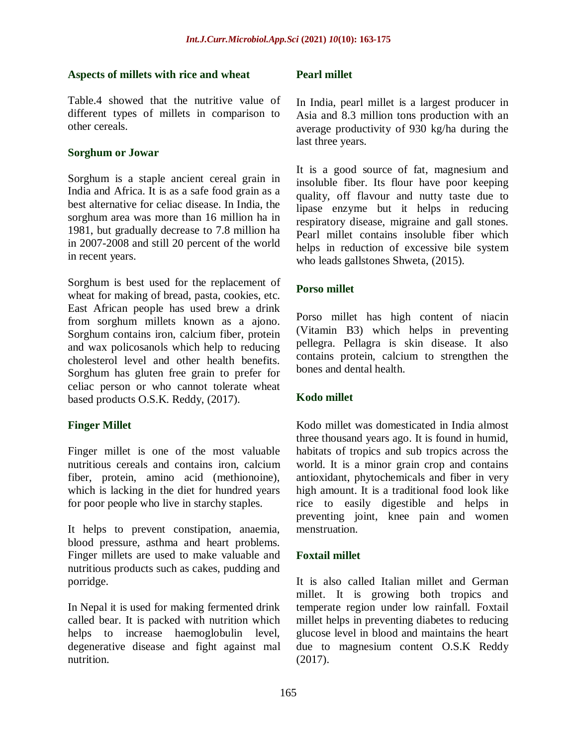## **Aspects of millets with rice and wheat**

Table.4 showed that the nutritive value of different types of millets in comparison to other cereals.

# **Sorghum or Jowar**

Sorghum is a staple ancient cereal grain in India and Africa. It is as a safe food grain as a best alternative for celiac disease. In India, the sorghum area was more than 16 million ha in 1981, but gradually decrease to 7.8 million ha in 2007-2008 and still 20 percent of the world in recent years.

Sorghum is best used for the replacement of wheat for making of bread, pasta, cookies, etc. East African people has used brew a drink from sorghum millets known as a ajono. Sorghum contains iron, calcium fiber, protein and wax policosanols which help to reducing cholesterol level and other health benefits. Sorghum has gluten free grain to prefer for celiac person or who cannot tolerate wheat based products O.S.K. Reddy, (2017).

# **Finger Millet**

Finger millet is one of the most valuable nutritious cereals and contains iron, calcium fiber, protein, amino acid (methionoine), which is lacking in the diet for hundred years for poor people who live in starchy staples.

It helps to prevent constipation, anaemia, blood pressure, asthma and heart problems. Finger millets are used to make valuable and nutritious products such as cakes, pudding and porridge.

In Nepal it is used for making fermented drink called bear. It is packed with nutrition which helps to increase haemoglobulin level, degenerative disease and fight against mal nutrition.

# **Pearl millet**

In India, pearl millet is a largest producer in Asia and 8.3 million tons production with an average productivity of 930 kg/ha during the last three years.

It is a good source of fat, magnesium and insoluble fiber. Its flour have poor keeping quality, off flavour and nutty taste due to lipase enzyme but it helps in reducing respiratory disease, migraine and gall stones. Pearl millet contains insoluble fiber which helps in reduction of excessive bile system who leads gallstones Shweta, (2015).

# **Porso millet**

Porso millet has high content of niacin (Vitamin B3) which helps in preventing pellegra. Pellagra is skin disease. It also contains protein, calcium to strengthen the bones and dental health.

# **Kodo millet**

Kodo millet was domesticated in India almost three thousand years ago. It is found in humid, habitats of tropics and sub tropics across the world. It is a minor grain crop and contains antioxidant, phytochemicals and fiber in very high amount. It is a traditional food look like rice to easily digestible and helps in preventing joint, knee pain and women menstruation.

## **Foxtail millet**

It is also called Italian millet and German millet. It is growing both tropics and temperate region under low rainfall. Foxtail millet helps in preventing diabetes to reducing glucose level in blood and maintains the heart due to magnesium content O.S.K Reddy (2017).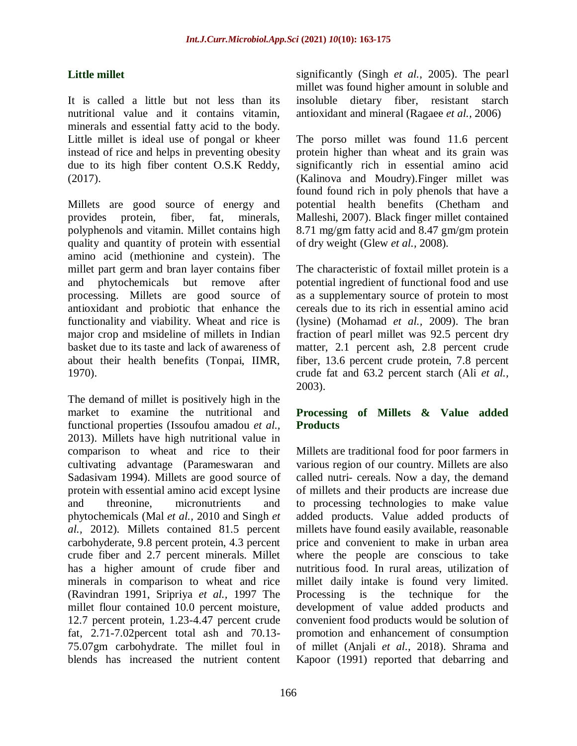# **Little millet**

It is called a little but not less than its nutritional value and it contains vitamin, minerals and essential fatty acid to the body. Little millet is ideal use of pongal or kheer instead of rice and helps in preventing obesity due to its high fiber content O.S.K Reddy, (2017).

Millets are good source of energy and provides protein, fiber, fat, minerals, polyphenols and vitamin. Millet contains high quality and quantity of protein with essential amino acid (methionine and cystein). The millet part germ and bran layer contains fiber and phytochemicals but remove after processing. Millets are good source of antioxidant and probiotic that enhance the functionality and viability. Wheat and rice is major crop and msideline of millets in Indian basket due to its taste and lack of awareness of about their health benefits (Tonpai, IIMR, 1970).

The demand of millet is positively high in the market to examine the nutritional and functional properties (Issoufou amadou *et al.,* 2013). Millets have high nutritional value in comparison to wheat and rice to their cultivating advantage (Parameswaran and Sadasivam 1994). Millets are good source of protein with essential amino acid except lysine and threonine, micronutrients and phytochemicals (Mal *et al.,* 2010 and Singh *et al.,* 2012). Millets contained 81.5 percent carbohyderate, 9.8 percent protein, 4.3 percent crude fiber and 2.7 percent minerals. Millet has a higher amount of crude fiber and minerals in comparison to wheat and rice (Ravindran 1991, Sripriya *et al.,* 1997 The millet flour contained 10.0 percent moisture, 12.7 percent protein, 1.23-4.47 percent crude fat, 2.71-7.02percent total ash and 70.13- 75.07gm carbohydrate. The millet foul in blends has increased the nutrient content

significantly (Singh *et al.,* 2005). The pearl millet was found higher amount in soluble and insoluble dietary fiber, resistant starch antioxidant and mineral (Ragaee *et al.,* 2006)

The porso millet was found 11.6 percent protein higher than wheat and its grain was significantly rich in essential amino acid (Kalinova and Moudry).Finger millet was found found rich in poly phenols that have a potential health benefits (Chetham and Malleshi, 2007). Black finger millet contained 8.71 mg/gm fatty acid and 8.47 gm/gm protein of dry weight (Glew *et al.,* 2008).

The characteristic of foxtail millet protein is a potential ingredient of functional food and use as a supplementary source of protein to most cereals due to its rich in essential amino acid (lysine) (Mohamad *et al.,* 2009). The bran fraction of pearl millet was 92.5 percent dry matter, 2.1 percent ash, 2.8 percent crude fiber, 13.6 percent crude protein, 7.8 percent crude fat and 63.2 percent starch (Ali *et al.,* 2003).

# **Processing of Millets & Value added Products**

Millets are traditional food for poor farmers in various region of our country. Millets are also called nutri- cereals. Now a day, the demand of millets and their products are increase due to processing technologies to make value added products. Value added products of millets have found easily available, reasonable price and convenient to make in urban area where the people are conscious to take nutritious food. In rural areas, utilization of millet daily intake is found very limited. Processing is the technique for the development of value added products and convenient food products would be solution of promotion and enhancement of consumption of millet (Anjali *et al.,* 2018). Shrama and Kapoor (1991) reported that debarring and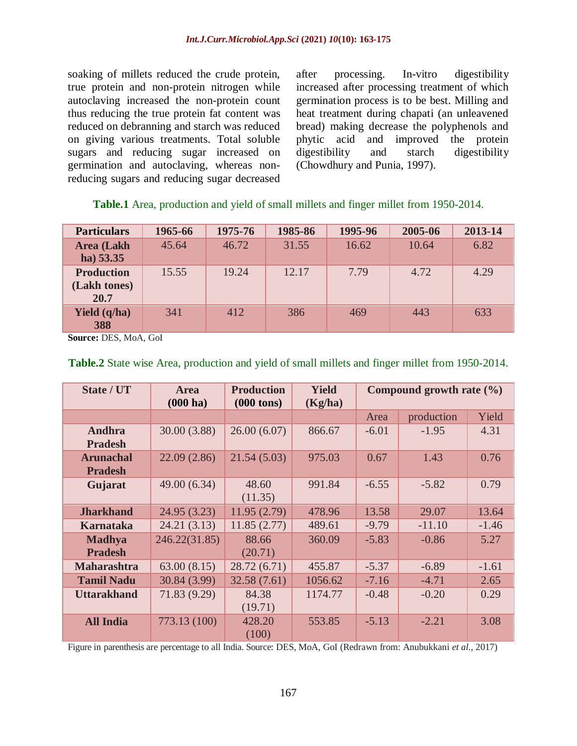soaking of millets reduced the crude protein, true protein and non-protein nitrogen while autoclaving increased the non-protein count thus reducing the true protein fat content was reduced on debranning and starch was reduced on giving various treatments. Total soluble sugars and reducing sugar increased on germination and autoclaving, whereas nonreducing sugars and reducing sugar decreased after processing. In-vitro digestibility increased after processing treatment of which germination process is to be best. Milling and heat treatment during chapati (an unleavened bread) making decrease the polyphenols and phytic acid and improved the protein digestibility and starch digestibility (Chowdhury and Punia, 1997).

|  | Table.1 Area, production and yield of small millets and finger millet from 1950-2014. |  |  |  |  |  |  |
|--|---------------------------------------------------------------------------------------|--|--|--|--|--|--|
|  |                                                                                       |  |  |  |  |  |  |

| <b>Particulars</b>                        | 1965-66 | 1975-76 | 1985-86 | 1995-96 | 2005-06 | 2013-14 |
|-------------------------------------------|---------|---------|---------|---------|---------|---------|
| <b>Area</b> (Lakh<br>ha) 53.35            | 45.64   | 46.72   | 31.55   | 16.62   | 10.64   | 6.82    |
| <b>Production</b><br>(Lakh tones)<br>20.7 | 15.55   | 19.24   | 12.17   | 7.79    | 4.72    | 4.29    |
| <b>Yield</b> (q/ha)<br>388                | 341     | 412     | 386     | 469     | 443     | 633     |

**Source:** DES, MoA, GoI

| State / UT                         | <b>Area</b><br>(000 ha) | <b>Production</b><br>$(000 \text{ tons})$ | <b>Yield</b><br>(Kg/ha) | Compound growth rate $(\% )$ |            |         |
|------------------------------------|-------------------------|-------------------------------------------|-------------------------|------------------------------|------------|---------|
|                                    |                         |                                           |                         | Area                         | production | Yield   |
| Andhra<br><b>Pradesh</b>           | 30.00 (3.88)            | 26.00(6.07)                               | 866.67                  | $-6.01$                      | $-1.95$    | 4.31    |
| <b>Arunachal</b><br><b>Pradesh</b> | 22.09(2.86)             | 21.54(5.03)                               | 975.03                  | 0.67                         | 1.43       | 0.76    |
| Gujarat                            | 49.00 (6.34)            | 48.60<br>(11.35)                          | 991.84                  | $-6.55$                      | $-5.82$    | 0.79    |
| <b>Jharkhand</b>                   | 24.95 (3.23)            | 11.95(2.79)                               | 478.96                  | 13.58                        | 29.07      | 13.64   |
| <b>Karnataka</b>                   | 24.21(3.13)             | 11.85(2.77)                               | 489.61                  | $-9.79$                      | $-11.10$   | $-1.46$ |
| <b>Madhya</b><br><b>Pradesh</b>    | 246.22(31.85)           | 88.66<br>(20.71)                          | 360.09                  | $-5.83$                      | $-0.86$    | 5.27    |
| <b>Maharashtra</b>                 | 63.00(8.15)             | 28.72(6.71)                               | 455.87                  | $-5.37$                      | $-6.89$    | $-1.61$ |
| <b>Tamil Nadu</b>                  | 30.84 (3.99)            | 32.58(7.61)                               | 1056.62                 | $-7.16$                      | $-4.71$    | 2.65    |
| <b>Uttarakhand</b>                 | 71.83 (9.29)            | 84.38<br>(19.71)                          | 1174.77                 | $-0.48$                      | $-0.20$    | 0.29    |
| <b>All India</b>                   | 773.13 (100)            | 428.20<br>(100)                           | 553.85                  | $-5.13$                      | $-2.21$    | 3.08    |

## **Table.2** State wise Area, production and yield of small millets and finger millet from 1950-2014.

Figure in parenthesis are percentage to all India. Source: DES, MoA, GoI (Redrawn from: Anubukkani *et al*., 2017)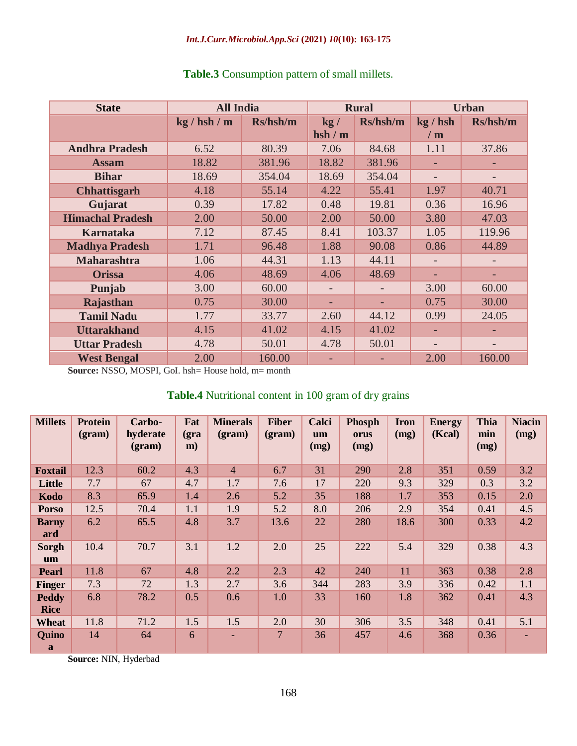| <b>State</b>            | <b>All India</b> |          |       | <b>Rural</b> | <b>Urban</b>             |          |  |
|-------------------------|------------------|----------|-------|--------------|--------------------------|----------|--|
|                         | kg / hsh / m     | Rs/hsh/m | kg/   | Rs/hsh/m     | kg / hsh                 | Rs/hsh/m |  |
|                         |                  |          | hsh/m |              | /m                       |          |  |
| <b>Andhra Pradesh</b>   | 6.52             | 80.39    | 7.06  | 84.68        | 1.11                     | 37.86    |  |
| <b>Assam</b>            | 18.82            | 381.96   | 18.82 | 381.96       |                          |          |  |
| <b>Bihar</b>            | 18.69            | 354.04   | 18.69 | 354.04       |                          |          |  |
| <b>Chhattisgarh</b>     | 4.18             | 55.14    | 4.22  | 55.41        | 1.97                     | 40.71    |  |
| Gujarat                 | 0.39             | 17.82    | 0.48  | 19.81        | 0.36                     | 16.96    |  |
| <b>Himachal Pradesh</b> | 2.00             | 50.00    | 2.00  | 50.00        | 3.80                     | 47.03    |  |
| <b>Karnataka</b>        | 7.12             | 87.45    | 8.41  | 103.37       | 1.05                     | 119.96   |  |
| <b>Madhya Pradesh</b>   | 1.71             | 96.48    | 1.88  | 90.08        | 0.86                     | 44.89    |  |
| <b>Maharashtra</b>      | 1.06             | 44.31    | 1.13  | 44.11        |                          |          |  |
| <b>Orissa</b>           | 4.06             | 48.69    | 4.06  | 48.69        |                          |          |  |
| Punjab                  | 3.00             | 60.00    |       |              | 3.00                     | 60.00    |  |
| Rajasthan               | 0.75             | 30.00    |       |              | 0.75                     | 30.00    |  |
| <b>Tamil Nadu</b>       | 1.77             | 33.77    | 2.60  | 44.12        | 0.99                     | 24.05    |  |
| <b>Uttarakhand</b>      | 4.15             | 41.02    | 4.15  | 41.02        | ÷                        |          |  |
| <b>Uttar Pradesh</b>    | 4.78             | 50.01    | 4.78  | 50.01        | $\overline{\phantom{0}}$ |          |  |
| <b>West Bengal</b>      | 2.00             | 160.00   |       |              | 2.00                     | 160.00   |  |

# **Table.3** Consumption pattern of small millets.

**Source:** NSSO, MOSPI, GoI. hsh= House hold, m= month

# **Table.4** Nutritional content in 100 gram of dry grains

| <b>Millets</b>              | <b>Protein</b><br>$2(gram)$ | Carbo-<br>hyderate<br>$2(gram)$ | Fat<br>$gra$<br>m) | <b>Minerals</b><br>$2(gram)$ | <b>Fiber</b><br>$2$ | Calci<br>um<br>(mg) | <b>Phosph</b><br>orus<br>(mg) | <b>Iron</b><br>(mg) | <b>Energy</b><br>(Kcal) | Thia<br>min<br>(mg) | <b>Niacin</b><br>(mg) |
|-----------------------------|-----------------------------|---------------------------------|--------------------|------------------------------|---------------------|---------------------|-------------------------------|---------------------|-------------------------|---------------------|-----------------------|
| <b>Foxtail</b>              | 12.3                        | 60.2                            | 4.3                | $\overline{4}$               | 6.7                 | 31                  | 290                           | 2.8                 | 351                     | 0.59                | 3.2                   |
| Little                      | 7.7                         | 67                              | 4.7                | 1.7                          | 7.6                 | 17                  | 220                           | 9.3                 | 329                     | 0.3                 | 3.2                   |
| Kodo                        | 8.3                         | 65.9                            | 1.4                | 2.6                          | 5.2                 | 35                  | 188                           | 1.7                 | 353                     | 0.15                | 2.0                   |
| <b>Porso</b>                | 12.5                        | 70.4                            | 1.1                | 1.9                          | 5.2                 | 8.0                 | 206                           | 2.9                 | 354                     | 0.41                | 4.5                   |
| <b>Barny</b><br>ard         | 6.2                         | 65.5                            | 4.8                | 3.7                          | 13.6                | 22                  | 280                           | 18.6                | 300                     | 0.33                | 4.2                   |
| Sorgh<br>um                 | 10.4                        | 70.7                            | 3.1                | 1.2                          | 2.0                 | 25                  | 222                           | 5.4                 | 329                     | 0.38                | 4.3                   |
| <b>Pearl</b>                | 11.8                        | 67                              | 4.8                | 2.2                          | 2.3                 | 42                  | 240                           | 11                  | 363                     | 0.38                | 2.8                   |
| <b>Finger</b>               | 7.3                         | 72                              | 1.3                | 2.7                          | 3.6                 | 344                 | 283                           | 3.9                 | 336                     | 0.42                | 1.1                   |
| <b>Peddy</b><br><b>Rice</b> | 6.8                         | 78.2                            | 0.5                | 0.6                          | 1.0                 | 33                  | 160                           | 1.8                 | 362                     | 0.41                | 4.3                   |
| Wheat                       | 11.8                        | 71.2                            | 1.5                | 1.5                          | 2.0                 | 30                  | 306                           | 3.5                 | 348                     | 0.41                | 5.1                   |
| <b>Quino</b><br>a           | 14                          | 64                              | 6                  | ٠                            | 7                   | 36                  | 457                           | 4.6                 | 368                     | 0.36                |                       |

**Source:** NIN, Hyderbad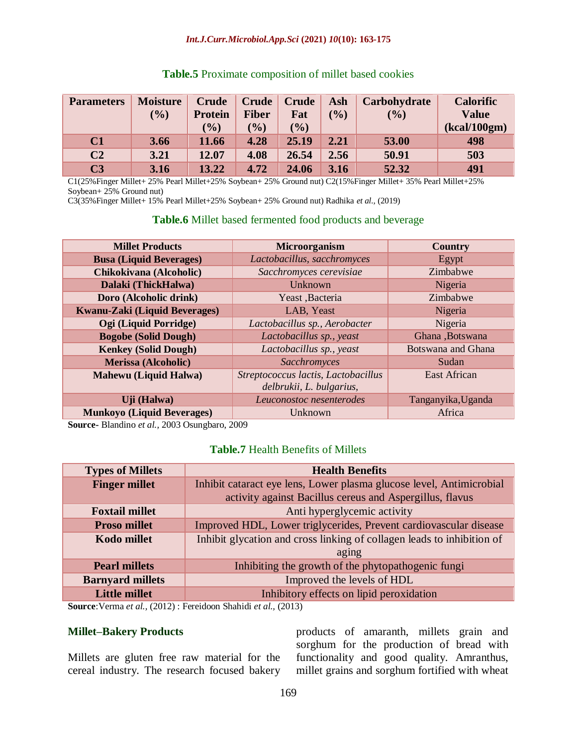#### *Int.J.Curr.Microbiol.App.Sci* **(2021)** *10***(10): 163-175**

| <b>Parameters</b> | <b>Moisture</b><br>(9/0) | Crude<br><b>Protein</b><br>$\frac{1}{2}$ | <b>Crude</b><br><b>Fiber</b><br>$($ %) | <b>Crude</b><br>Fat<br>(9/0) | Ash<br>$\mathcal{O}_0$ | Carbohydrate<br>(%) | <b>Calorific</b><br><b>Value</b><br>(kcal/100gm) |
|-------------------|--------------------------|------------------------------------------|----------------------------------------|------------------------------|------------------------|---------------------|--------------------------------------------------|
| C1                | 3.66                     | 11.66                                    | 4.28                                   | 25.19                        | 2.21                   | 53.00               | 498                                              |
| C <sub>2</sub>    | 3.21                     | 12.07                                    | 4.08                                   | 26.54                        | 2.56                   | 50.91               | 503                                              |
| C <sub>3</sub>    | 3.16                     | 13.22                                    | 4.72                                   | 24.06                        | 3.16                   | 52.32               | 491                                              |

## **Table.5** Proximate composition of millet based cookies

C1(25%Finger Millet+ 25% Pearl Millet+25% Soybean+ 25% Ground nut) C2(15%Finger Millet+ 35% Pearl Millet+25% Soybean+ 25% Ground nut)

C3(35%Finger Millet+ 15% Pearl Millet+25% Soybean+ 25% Ground nut) Radhika *et al.,* (2019)

## **Table.6** Millet based fermented food products and beverage

| <b>Millet Products</b>            | <b>Microorganism</b>                                            | <b>Country</b>            |
|-----------------------------------|-----------------------------------------------------------------|---------------------------|
| <b>Busa (Liquid Beverages)</b>    | Lactobacillus, sacchromyces                                     | Egypt                     |
| Chikokivana (Alcoholic)           | Sacchromyces cerevisiae                                         | Zimbabwe                  |
| Dalaki (ThickHalwa)               | Unknown                                                         | Nigeria                   |
| Doro (Alcoholic drink)            | Yeast ,Bacteria                                                 | Zimbabwe                  |
| Kwanu-Zaki (Liquid Beverages)     | LAB, Yeast                                                      | Nigeria                   |
| Ogi (Liquid Porridge)             | Lactobacillus sp., Aerobacter                                   | Nigeria                   |
| <b>Bogobe (Solid Dough)</b>       | Lactobacillus sp., yeast                                        | Ghana, Botswana           |
| <b>Kenkey (Solid Dough)</b>       | Lactobacillus sp., yeast                                        | <b>Botswana and Ghana</b> |
| <b>Merissa (Alcoholic)</b>        | Sacchromyces                                                    | Sudan                     |
| <b>Mahewu</b> (Liquid Halwa)      | Streptococcus lactis, Lactobacillus<br>delbrukii, L. bulgarius, | <b>East African</b>       |
| Uji (Halwa)                       | Leuconostoc nesenterodes                                        | Tanganyika, Uganda        |
| <b>Munkoyo (Liquid Beverages)</b> | Unknown                                                         | Africa                    |

**Source-** Blandino *et al.,* 2003 Osungbaro, 2009

## **Table.7** Health Benefits of Millets

| <b>Types of Millets</b> | <b>Health Benefits</b>                                                 |  |  |  |  |  |
|-------------------------|------------------------------------------------------------------------|--|--|--|--|--|
| <b>Finger millet</b>    | Inhibit cataract eye lens, Lower plasma glucose level, Antimicrobial   |  |  |  |  |  |
|                         | activity against Bacillus cereus and Aspergillus, flavus               |  |  |  |  |  |
| <b>Foxtail millet</b>   | Anti hyperglycemic activity                                            |  |  |  |  |  |
| <b>Proso millet</b>     | Improved HDL, Lower triglycerides, Prevent cardiovascular disease      |  |  |  |  |  |
| <b>Kodo millet</b>      | Inhibit glycation and cross linking of collagen leads to inhibition of |  |  |  |  |  |
|                         | aging                                                                  |  |  |  |  |  |
| <b>Pearl millets</b>    | Inhibiting the growth of the phytopathogenic fungi                     |  |  |  |  |  |
| <b>Barnyard millets</b> | Improved the levels of HDL                                             |  |  |  |  |  |
| <b>Little millet</b>    | Inhibitory effects on lipid peroxidation                               |  |  |  |  |  |

**Source**:Verma *et al.,* (2012) : Fereidoon Shahidi *et al.,* (2013)

## **Millet–Bakery Products**

Millets are gluten free raw material for the cereal industry. The research focused bakery

products of amaranth, millets grain and sorghum for the production of bread with functionality and good quality. Amranthus, millet grains and sorghum fortified with wheat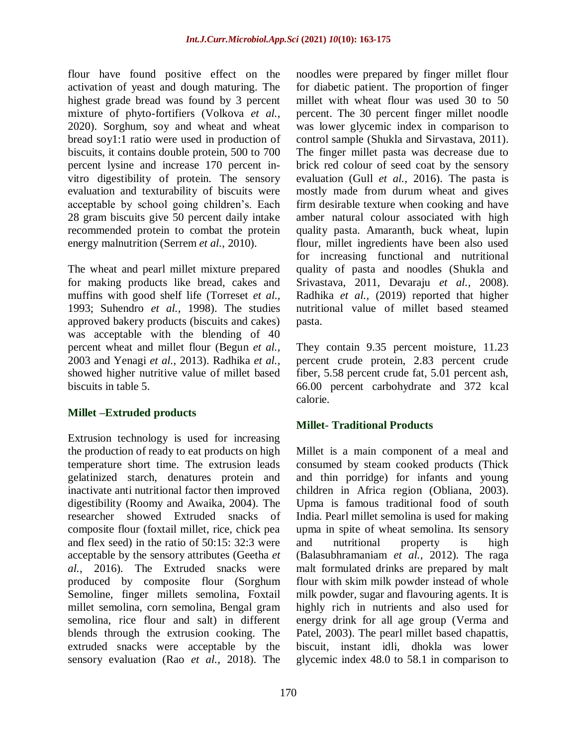flour have found positive effect on the activation of yeast and dough maturing. The highest grade bread was found by 3 percent mixture of phyto-fortifiers (Volkova *et al.,* 2020). Sorghum, soy and wheat and wheat bread soy1:1 ratio were used in production of biscuits, it contains double protein, 500 to 700 percent lysine and increase 170 percent invitro digestibility of protein. The sensory evaluation and texturability of biscuits were acceptable by school going children's. Each 28 gram biscuits give 50 percent daily intake recommended protein to combat the protein energy malnutrition (Serrem *et al.,* 2010).

The wheat and pearl millet mixture prepared for making products like bread, cakes and muffins with good shelf life (Torreset *et al.,* 1993; Suhendro *et al.,* 1998). The studies approved bakery products (biscuits and cakes) was acceptable with the blending of 40 percent wheat and millet flour (Begun *et al.,* 2003 and Yenagi *et al.,* 2013). Radhika *et al.,* showed higher nutritive value of millet based biscuits in table 5.

# **Millet –Extruded products**

Extrusion technology is used for increasing the production of ready to eat products on high temperature short time. The extrusion leads gelatinized starch, denatures protein and inactivate anti nutritional factor then improved digestibility (Roomy and Awaika, 2004). The researcher showed Extruded snacks of composite flour (foxtail millet, rice, chick pea and flex seed) in the ratio of 50:15: 32:3 were acceptable by the sensory attributes (Geetha *et al.,* 2016). The Extruded snacks were produced by composite flour (Sorghum Semoline, finger millets semolina, Foxtail millet semolina, corn semolina, Bengal gram semolina, rice flour and salt) in different blends through the extrusion cooking. The extruded snacks were acceptable by the sensory evaluation (Rao *et al.,* 2018). The

noodles were prepared by finger millet flour for diabetic patient. The proportion of finger millet with wheat flour was used 30 to 50 percent. The 30 percent finger millet noodle was lower glycemic index in comparison to control sample (Shukla and Sirvastava, 2011). The finger millet pasta was decrease due to brick red colour of seed coat by the sensory evaluation (Gull *et al.,* 2016). The pasta is mostly made from durum wheat and gives firm desirable texture when cooking and have amber natural colour associated with high quality pasta. Amaranth, buck wheat, lupin flour, millet ingredients have been also used for increasing functional and nutritional quality of pasta and noodles (Shukla and Srivastava, 2011, Devaraju *et al.,* 2008). Radhika *et al.,* (2019) reported that higher nutritional value of millet based steamed pasta.

They contain 9.35 percent moisture, 11.23 percent crude protein, 2.83 percent crude fiber, 5.58 percent crude fat, 5.01 percent ash, 66.00 percent carbohydrate and 372 kcal calorie.

# **Millet- Traditional Products**

Millet is a main component of a meal and consumed by steam cooked products (Thick and thin porridge) for infants and young children in Africa region (Obliana, 2003). Upma is famous traditional food of south India. Pearl millet semolina is used for making upma in spite of wheat semolina. Its sensory and nutritional property is high (Balasubhramaniam *et al.,* 2012). The raga malt formulated drinks are prepared by malt flour with skim milk powder instead of whole milk powder, sugar and flavouring agents. It is highly rich in nutrients and also used for energy drink for all age group (Verma and Patel, 2003). The pearl millet based chapattis, biscuit, instant idli, dhokla was lower glycemic index 48.0 to 58.1 in comparison to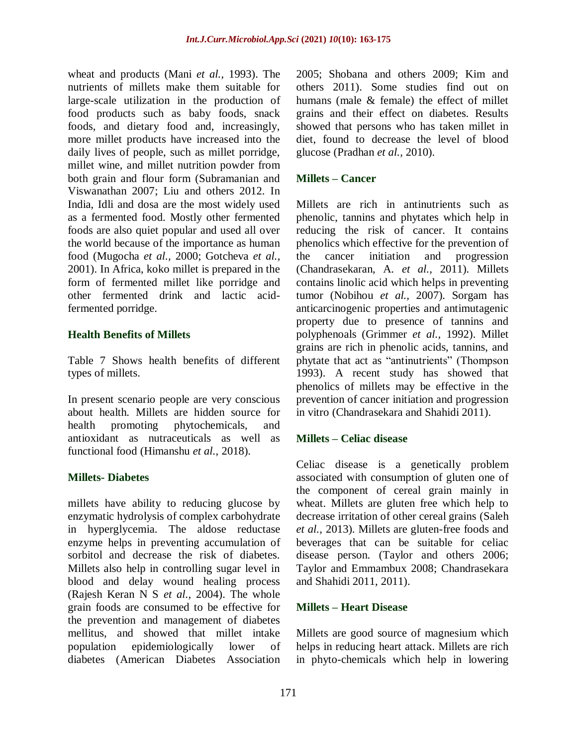wheat and products (Mani *et al.,* 1993). The nutrients of millets make them suitable for large-scale utilization in the production of food products such as baby foods, snack foods, and dietary food and, increasingly, more millet products have increased into the daily lives of people, such as millet porridge, millet wine, and millet nutrition powder from both grain and flour form (Subramanian and Viswanathan 2007; Liu and others 2012. In India, Idli and dosa are the most widely used as a fermented food. Mostly other fermented foods are also quiet popular and used all over the world because of the importance as human food (Mugocha *et al.,* 2000; Gotcheva *et al.,* 2001). In Africa, koko millet is prepared in the form of fermented millet like porridge and other fermented drink and lactic acidfermented porridge.

## **Health Benefits of Millets**

Table 7 Shows health benefits of different types of millets.

In present scenario people are very conscious about health. Millets are hidden source for health promoting phytochemicals, and antioxidant as nutraceuticals as well as functional food (Himanshu *et al.,* 2018).

# **Millets- Diabetes**

millets have ability to reducing glucose by enzymatic hydrolysis of complex carbohydrate in hyperglycemia. The aldose reductase enzyme helps in preventing accumulation of sorbitol and decrease the risk of diabetes. Millets also help in controlling sugar level in blood and delay wound healing process (Rajesh Keran N S *et al.,* 2004). The whole grain foods are consumed to be effective for the prevention and management of diabetes mellitus, and showed that millet intake population epidemiologically lower of diabetes (American Diabetes Association

2005; Shobana and others 2009; Kim and others 2011). Some studies find out on humans (male & female) the effect of millet grains and their effect on diabetes. Results showed that persons who has taken millet in diet, found to decrease the level of blood glucose (Pradhan *et al.,* 2010).

## **Millets – Cancer**

Millets are rich in antinutrients such as phenolic, tannins and phytates which help in reducing the risk of cancer. It contains phenolics which effective for the prevention of the cancer initiation and progression (Chandrasekaran, A. *et al.,* 2011). Millets contains linolic acid which helps in preventing tumor (Nobihou *et al.,* 2007). Sorgam has anticarcinogenic properties and antimutagenic property due to presence of tannins and polyphenoals (Grimmer *et al.,* 1992). Millet grains are rich in phenolic acids, tannins, and phytate that act as "antinutrients" (Thompson 1993). A recent study has showed that phenolics of millets may be effective in the prevention of cancer initiation and progression in vitro (Chandrasekara and Shahidi 2011).

# **Millets – Celiac disease**

Celiac disease is a genetically problem associated with consumption of gluten one of the component of cereal grain mainly in wheat. Millets are gluten free which help to decrease irritation of other cereal grains (Saleh *et al.,* 2013). Millets are gluten-free foods and beverages that can be suitable for celiac disease person. (Taylor and others 2006; Taylor and Emmambux 2008; Chandrasekara and Shahidi 2011, 2011).

## **Millets – Heart Disease**

Millets are good source of magnesium which helps in reducing heart attack. Millets are rich in phyto-chemicals which help in lowering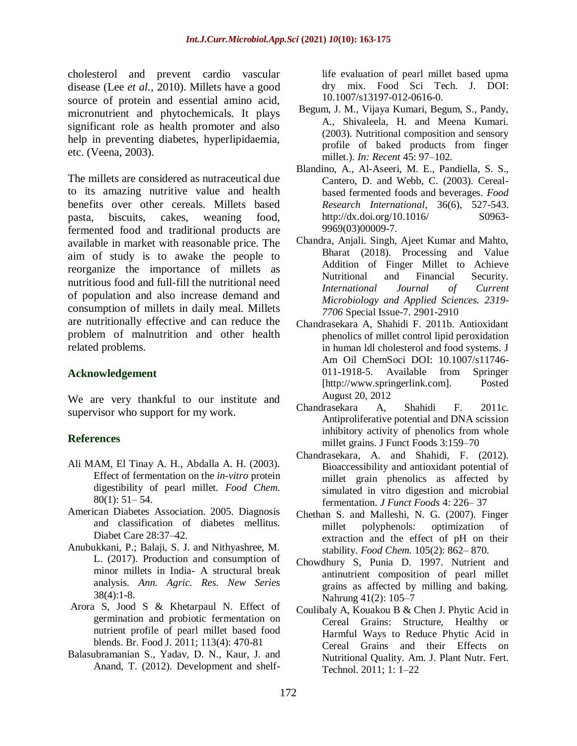cholesterol and prevent cardio vascular disease (Lee *et al.,* 2010). Millets have a good source of protein and essential amino acid, micronutrient and phytochemicals. It plays significant role as health promoter and also help in preventing diabetes, hyperlipidaemia, etc. (Veena, 2003).

The millets are considered as nutraceutical due to its amazing nutritive value and health benefits over other cereals. Millets based pasta, biscuits, cakes, weaning food, fermented food and traditional products are available in market with reasonable price. The aim of study is to awake the people to reorganize the importance of millets as nutritious food and full-fill the nutritional need of population and also increase demand and consumption of millets in daily meal. Millets are nutritionally effective and can reduce the problem of malnutrition and other health related problems.

## **Acknowledgement**

We are very thankful to our institute and supervisor who support for my work.

# **References**

- Ali MAM, El Tinay A. H., Abdalla A. H. (2003). Effect of fermentation on the *in-vitro* protein digestibility of pearl millet. *Food Chem.* 80(1): 51– 54.
- American Diabetes Association. 2005. Diagnosis and classification of diabetes mellitus. Diabet Care 28:37–42.
- Anubukkani, P.; Balaji, S. J. and Nithyashree, M. L. (2017). Production and consumption of minor millets in India- A structural break analysis. *Ann. Agric. Res. New Series* 38(4):1-8.
- Arora S, Jood S & Khetarpaul N. Effect of germination and probiotic fermentation on nutrient profile of pearl millet based food blends. Br. Food J. 2011; 113(4): 470-81
- Balasubramanian S., Yadav, D. N., Kaur, J. and Anand, T. (2012). Development and shelf-

life evaluation of pearl millet based upma dry mix. Food Sci Tech. J. DOI: 10.1007/s13197-012-0616-0.

- Begum, J. M., Vijaya Kumari, Begum, S., Pandy, A., Shivaleela, H. and Meena Kumari. (2003). Nutritional composition and sensory profile of baked products from finger millet.). *In: Recent* 45: 97–102.
- Blandino, A., Al-Aseeri, M. E., Pandiella, S. S., Cantero, D. and Webb, C. (2003). Cerealbased fermented foods and beverages. *Food Research International*, 36(6), 527-543. http://dx.doi.org/10.1016/ S0963-9969(03)00009-7.
- Chandra, Anjali. Singh, Ajeet Kumar and Mahto, Bharat (2018). Processing and Value Addition of Finger Millet to Achieve Nutritional and Financial Security. *International Journal of Current Microbiology and Applied Sciences. 2319- 7706* Special Issue-7. 2901-2910
- Chandrasekara A, Shahidi F. 2011b. Antioxidant phenolics of millet control lipid peroxidation in human ldl cholesterol and food systems. J Am Oil ChemSoci DOI: 10.1007/s11746- 011-1918-5. Available from Springer [http://www.springerlink.com]. Posted August 20, 2012
- Chandrasekara A, Shahidi F. 2011c. Antiproliferative potential and DNA scission inhibitory activity of phenolics from whole millet grains. J Funct Foods 3:159–70
- Chandrasekara, A. and Shahidi, F. (2012). Bioaccessibility and antioxidant potential of millet grain phenolics as affected by simulated in vitro digestion and microbial fermentation. *J Funct Foods* 4: 226– 37
- Chethan S. and Malleshi, N. G. (2007). Finger millet polyphenols: optimization of extraction and the effect of pH on their stability. *Food Chem.* 105(2): 862– 870.
- Chowdhury S, Punia D. 1997. Nutrient and antinutrient composition of pearl millet grains as affected by milling and baking. Nahrung 41(2): 105–7
- Coulibaly A, Kouakou B & Chen J. Phytic Acid in Cereal Grains: Structure, Healthy or Harmful Ways to Reduce Phytic Acid in Cereal Grains and their Effects on Nutritional Quality. Am. J. Plant Nutr. Fert. Technol. 2011; 1: 1–22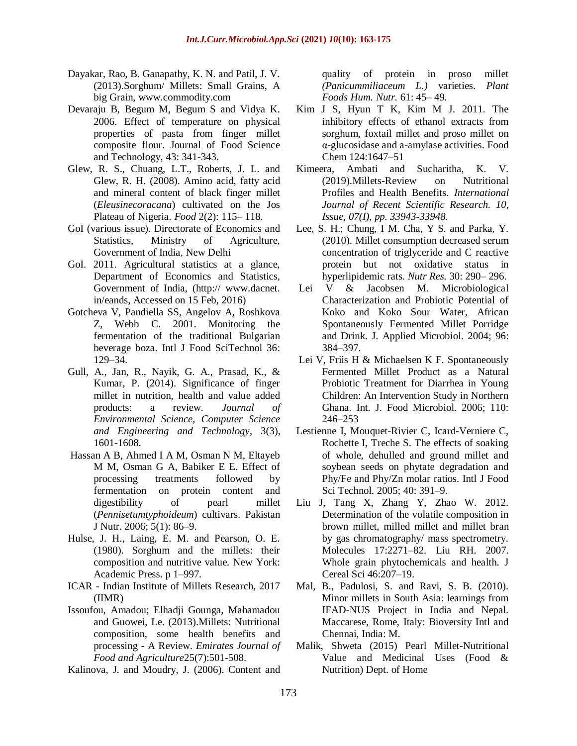- Dayakar, Rao, B. Ganapathy, K. N. and Patil, J. V. (2013).Sorghum/ Millets: Small Grains, A big Grain, [www.commodity.com](http://www.commodity.com/)
- Devaraju B, Begum M, Begum S and Vidya K. 2006. Effect of temperature on physical properties of pasta from finger millet composite flour. Journal of Food Science and Technology, 43: 341-343.
- Glew, R. S., Chuang, L.T., Roberts, J. L. and Glew, R. H. (2008). Amino acid, fatty acid and mineral content of black finger millet (*Eleusinecoracana*) cultivated on the Jos Plateau of Nigeria. *Food* 2(2): 115– 118.
- GoI (various issue). Directorate of Economics and Statistics, Ministry of Agriculture, Government of India, New Delhi
- GoI. 2011. Agricultural statistics at a glance, Department of Economics and Statistics, Government of India, (http:// www.dacnet. in/eands, Accessed on 15 Feb, 2016)
- Gotcheva V, Pandiella SS, Angelov A, Roshkova Z, Webb C. 2001. Monitoring the fermentation of the traditional Bulgarian beverage boza. Intl J Food SciTechnol 36: 129–34.
- Gull, A., Jan, R., Nayik, G. A., Prasad, K., & Kumar, P. (2014). Significance of finger millet in nutrition, health and value added products: a review. *Journal of Environmental Science, Computer Science and Engineering and Technology*, 3(3), 1601-1608.
- Hassan A B, Ahmed I A M, Osman N M, Eltayeb M M, Osman G A, Babiker E E. Effect of processing treatments followed by fermentation on protein content and digestibility of pearl millet (*Pennisetumtyphoideum*) cultivars. Pakistan J Nutr. 2006; 5(1): 86–9.
- Hulse, J. H., Laing, E. M. and Pearson, O. E. (1980). Sorghum and the millets: their composition and nutritive value. New York: Academic Press. p 1–997.
- ICAR Indian Institute of Millets Research, 2017 (IIMR)
- Issoufou, Amadou; Elhadji Gounga, Mahamadou and Guowei, Le. (2013).Millets: Nutritional composition, some health benefits and processing - A Review. *Emirates Journal of Food and Agriculture*25(7):501-508.

Kalinova, J. and Moudry, J. (2006). Content and

quality of protein in proso millet *(Panicummiliaceum L.)* varieties. *Plant Foods Hum. Nutr.* 61: 45– 49.

- Kim J S, Hyun T K, Kim M J. 2011. The inhibitory effects of ethanol extracts from sorghum, foxtail millet and proso millet on α-glucosidase and a-amylase activities. Food Chem 124:1647–51
- Kimeera, Ambati and Sucharitha, K. V. (2019).Millets-Review on Nutritional Profiles and Health Benefits. *International Journal of Recent Scientific Research. 10, Issue, 07(I), pp. 33943-33948.*
- Lee, S. H.; Chung, I M. Cha, Y S. and Parka, Y. (2010). Millet consumption decreased serum concentration of triglyceride and C reactive protein but not oxidative status in hyperlipidemic rats. *Nutr Res.* 30: 290– 296.
- Lei V & Jacobsen M. Microbiological Characterization and Probiotic Potential of Koko and Koko Sour Water, African Spontaneously Fermented Millet Porridge and Drink. J. Applied Microbiol. 2004; 96: 384–397.
- Lei V, Friis H & Michaelsen K F. Spontaneously Fermented Millet Product as a Natural Probiotic Treatment for Diarrhea in Young Children: An Intervention Study in Northern Ghana. Int. J. Food Microbiol. 2006; 110: 246–253
- Lestienne I, Mouquet-Rivier C, Icard-Verniere C, Rochette I, Treche S. The effects of soaking of whole, dehulled and ground millet and soybean seeds on phytate degradation and Phy/Fe and Phy/Zn molar ratios. Intl J Food Sci Technol. 2005; 40: 391–9.
- Liu J, Tang X, Zhang Y, Zhao W. 2012. Determination of the volatile composition in brown millet, milled millet and millet bran by gas chromatography/ mass spectrometry. Molecules 17:2271–82. Liu RH. 2007. Whole grain phytochemicals and health. J Cereal Sci 46:207–19.
- Mal, B., Padulosi, S. and Ravi, S. B. (2010). Minor millets in South Asia: learnings from IFAD-NUS Project in India and Nepal. Maccarese, Rome, Italy: Bioversity Intl and Chennai, India: M.
- Malik, Shweta (2015) Pearl Millet-Nutritional Value and Medicinal Uses (Food & Nutrition) Dept. of Home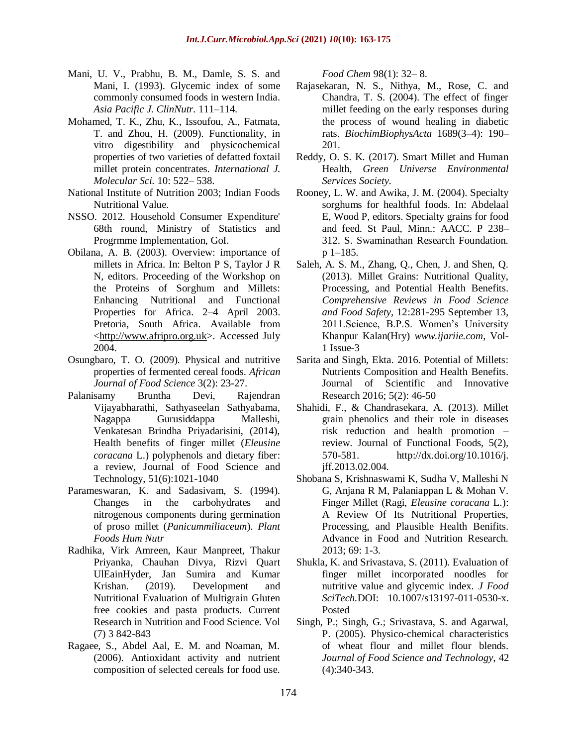- Mani, U. V., Prabhu, B. M., Damle, S. S. and Mani, I. (1993). Glycemic index of some commonly consumed foods in western India. *Asia Pacific J. ClinNutr.* 111–114.
- Mohamed, T. K., Zhu, K., Issoufou, A., Fatmata, T. and Zhou, H. (2009). Functionality, in vitro digestibility and physicochemical properties of two varieties of defatted foxtail millet protein concentrates. *International J. Molecular Sci.* 10: 522– 538.
- National Institute of Nutrition 2003; Indian Foods Nutritional Value.
- NSSO. 2012. Household Consumer Expenditure' 68th round, Ministry of Statistics and Progrmme Implementation, GoI.
- Obilana, A. B. (2003). Overview: importance of millets in Africa. In: Belton P S, Taylor J R N, editors. Proceeding of the Workshop on the Proteins of Sorghum and Millets: Enhancing Nutritional and Functional Properties for Africa. 2–4 April 2003. Pretoria, South Africa. Available from [<http://www.afripro.org.uk>](http://www.afripro.org.uk/). Accessed July 2004.
- Osungbaro, T. O. (2009). Physical and nutritive properties of fermented cereal foods. *African Journal of Food Science* 3(2): 23-27.
- Palanisamy Bruntha Devi, Rajendran Vijayabharathi, Sathyaseelan Sathyabama, Nagappa Gurusiddappa Malleshi, Venkatesan Brindha Priyadarisini, (2014), Health benefits of finger millet (*Eleusine coracana* L.) polyphenols and dietary fiber: a review, Journal of Food Science and Technology, 51(6):1021-1040
- Parameswaran, K. and Sadasivam, S. (1994). Changes in the carbohydrates and nitrogenous components during germination of proso millet (*Panicummiliaceum*). *Plant Foods Hum Nutr*
- Radhika, Virk Amreen, Kaur Manpreet, Thakur Priyanka, Chauhan Divya, Rizvi Quart UlEainHyder, Jan Sumira and Kumar Krishan. (2019). Development and Nutritional Evaluation of Multigrain Gluten free cookies and pasta products. Current Research in Nutrition and Food Science. Vol (7) 3 842-843
- Ragaee, S., Abdel Aal, E. M. and Noaman, M. (2006). Antioxidant activity and nutrient composition of selected cereals for food use.

*Food Chem* 98(1): 32– 8.

- Rajasekaran, N. S., Nithya, M., Rose, C. and Chandra, T. S. (2004). The effect of finger millet feeding on the early responses during the process of wound healing in diabetic rats. *BiochimBiophysActa* 1689(3–4): 190– 201.
- Reddy, O. S. K. (2017). Smart Millet and Human Health, *Green Universe Environmental Services Society.*
- Rooney, L. W. and Awika, J. M. (2004). Specialty sorghums for healthful foods. In: Abdelaal E, Wood P, editors. Specialty grains for food and feed. St Paul, Minn.: AACC. P 238– 312. S. Swaminathan Research Foundation. p 1–185.
- Saleh, A. S. M., Zhang, Q., Chen, J. and Shen, Q. (2013). Millet Grains: Nutritional Quality, Processing, and Potential Health Benefits. *Comprehensive Reviews in Food Science and Food Safety*, 12:281-295 September 13, 2011.Science, B.P.S. Women's University Khanpur Kalan(Hry) *www.ijariie.com*, Vol-1 Issue-3
- Sarita and Singh, Ekta. 2016. Potential of Millets: Nutrients Composition and Health Benefits. Journal of Scientific and Innovative Research 2016; 5(2): 46-50
- Shahidi, F., & Chandrasekara, A. (2013). Millet grain phenolics and their role in diseases risk reduction and health promotion – review. Journal of Functional Foods, 5(2), 570-581. [http://dx.doi.org/10.1016/j.](http://dx.doi.org/10.1016/j.%20jff.2013.02.004)  [jff.2013.02.004.](http://dx.doi.org/10.1016/j.%20jff.2013.02.004)
- Shobana S, Krishnaswami K, Sudha V, Malleshi N G, Anjana R M, Palaniappan L & Mohan V. Finger Millet (Ragi, *Eleusine coracana* L.): A Review Of Its Nutritional Properties, Processing, and Plausible Health Benifits. Advance in Food and Nutrition Research. 2013; 69: 1-3.
- Shukla, K. and Srivastava, S. (2011). Evaluation of finger millet incorporated noodles for nutritive value and glycemic index. *J Food SciTech.*DOI: 10.1007/s13197-011-0530-x. Posted
- Singh, P.; Singh, G.; Srivastava, S. and Agarwal, P. (2005). Physico-chemical characteristics of wheat flour and millet flour blends. *Journal of Food Science and Technology*, 42 (4):340-343.